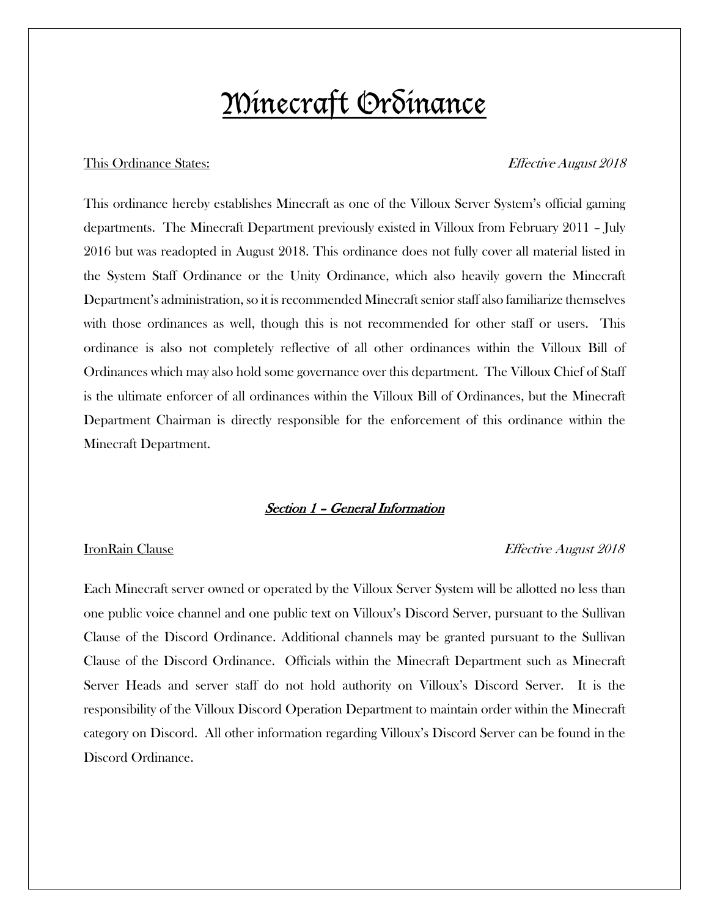# Minecraft Ordinance

### This Ordinance States: Effective August 2018

This ordinance hereby establishes Minecraft as one of the Villoux Server System's official gaming departments. The Minecraft Department previously existed in Villoux from February 2011 – July 2016 but was readopted in August 2018. This ordinance does not fully cover all material listed in the System Staff Ordinance or the Unity Ordinance, which also heavily govern the Minecraft Department's administration, so it is recommended Minecraft senior staff also familiarize themselves with those ordinances as well, though this is not recommended for other staff or users. This ordinance is also not completely reflective of all other ordinances within the Villoux Bill of Ordinances which may also hold some governance over this department. The Villoux Chief of Staff is the ultimate enforcer of all ordinances within the Villoux Bill of Ordinances, but the Minecraft Department Chairman is directly responsible for the enforcement of this ordinance within the Minecraft Department.

### Section 1 – General Information

### IronRain Clause Effective August 2018

Each Minecraft server owned or operated by the Villoux Server System will be allotted no less than one public voice channel and one public text on Villoux's Discord Server, pursuant to the Sullivan Clause of the Discord Ordinance. Additional channels may be granted pursuant to the Sullivan Clause of the Discord Ordinance. Officials within the Minecraft Department such as Minecraft Server Heads and server staff do not hold authority on Villoux's Discord Server. It is the responsibility of the Villoux Discord Operation Department to maintain order within the Minecraft category on Discord. All other information regarding Villoux's Discord Server can be found in the Discord Ordinance.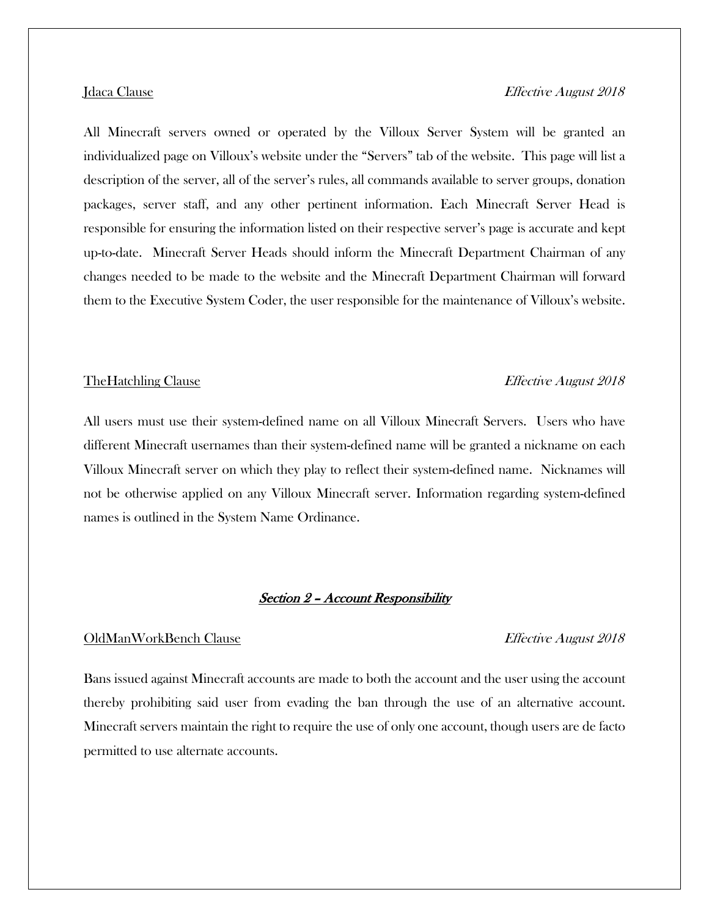All Minecraft servers owned or operated by the Villoux Server System will be granted an individualized page on Villoux's website under the "Servers" tab of the website. This page will list a description of the server, all of the server's rules, all commands available to server groups, donation packages, server staff, and any other pertinent information. Each Minecraft Server Head is responsible for ensuring the information listed on their respective server's page is accurate and kept up-to-date. Minecraft Server Heads should inform the Minecraft Department Chairman of any changes needed to be made to the website and the Minecraft Department Chairman will forward

them to the Executive System Coder, the user responsible for the maintenance of Villoux's website.

### The Hatchling Clause **Effective August 2018**

All users must use their system-defined name on all Villoux Minecraft Servers. Users who have different Minecraft usernames than their system-defined name will be granted a nickname on each Villoux Minecraft server on which they play to reflect their system-defined name. Nicknames will not be otherwise applied on any Villoux Minecraft server. Information regarding system-defined names is outlined in the System Name Ordinance.

### Section 2 – Account Responsibility

### OldManWorkBench Clause Effective August 2018

Bans issued against Minecraft accounts are made to both the account and the user using the account thereby prohibiting said user from evading the ban through the use of an alternative account. Minecraft servers maintain the right to require the use of only one account, though users are de facto permitted to use alternate accounts.

### Jdaca Clause Effective August 2018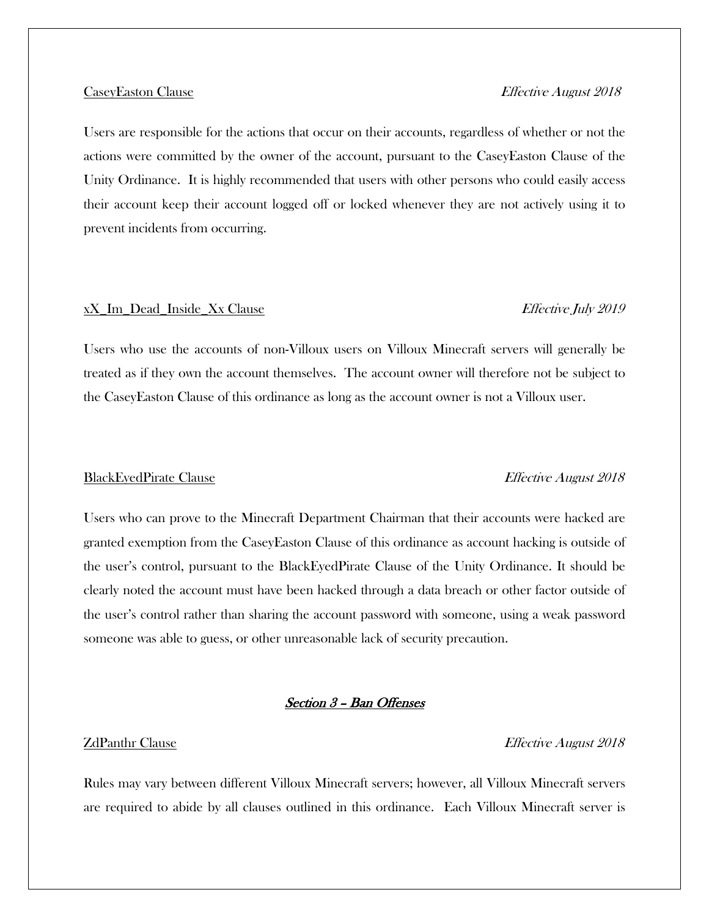Users are responsible for the actions that occur on their accounts, regardless of whether or not the actions were committed by the owner of the account, pursuant to the CaseyEaston Clause of the Unity Ordinance. It is highly recommended that users with other persons who could easily access their account keep their account logged off or locked whenever they are not actively using it to prevent incidents from occurring.

### xX\_Im\_Dead\_Inside\_Xx Clause Effective July 2019

## Users who use the accounts of non-Villoux users on Villoux Minecraft servers will generally be treated as if they own the account themselves. The account owner will therefore not be subject to the CaseyEaston Clause of this ordinance as long as the account owner is not a Villoux user.

### BlackEyedPirate Clause Effective August 2018

## Users who can prove to the Minecraft Department Chairman that their accounts were hacked are granted exemption from the CaseyEaston Clause of this ordinance as account hacking is outside of the user's control, pursuant to the BlackEyedPirate Clause of the Unity Ordinance. It should be clearly noted the account must have been hacked through a data breach or other factor outside of the user's control rather than sharing the account password with someone, using a weak password someone was able to guess, or other unreasonable lack of security precaution.

### Section 3 – Ban Offenses

### **ZdPanthr Clause** Effective August 2018

Rules may vary between different Villoux Minecraft servers; however, all Villoux Minecraft servers are required to abide by all clauses outlined in this ordinance. Each Villoux Minecraft server is

### CaseyEaston Clause Effective August 2018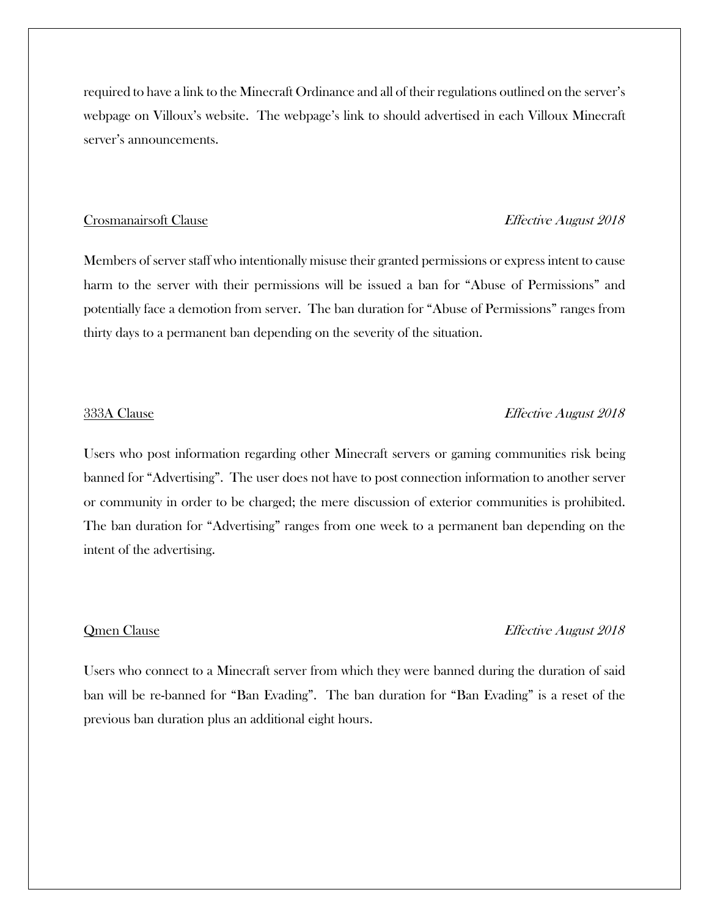required to have a link to the Minecraft Ordinance and all of their regulations outlined on the server's webpage on Villoux's website. The webpage's link to should advertised in each Villoux Minecraft server's announcements.

### Crosmanairsoft Clause **Effective August 2018**

Members of server staff who intentionally misuse their granted permissions or express intent to cause harm to the server with their permissions will be issued a ban for "Abuse of Permissions" and potentially face a demotion from server. The ban duration for "Abuse of Permissions" ranges from thirty days to a permanent ban depending on the severity of the situation.

### 333A Clause Effective August 2018

Users who post information regarding other Minecraft servers or gaming communities risk being banned for "Advertising". The user does not have to post connection information to another server or community in order to be charged; the mere discussion of exterior communities is prohibited. The ban duration for "Advertising" ranges from one week to a permanent ban depending on the intent of the advertising.

### Qmen Clause Effective August 2018

Users who connect to a Minecraft server from which they were banned during the duration of said ban will be re-banned for "Ban Evading". The ban duration for "Ban Evading" is a reset of the previous ban duration plus an additional eight hours.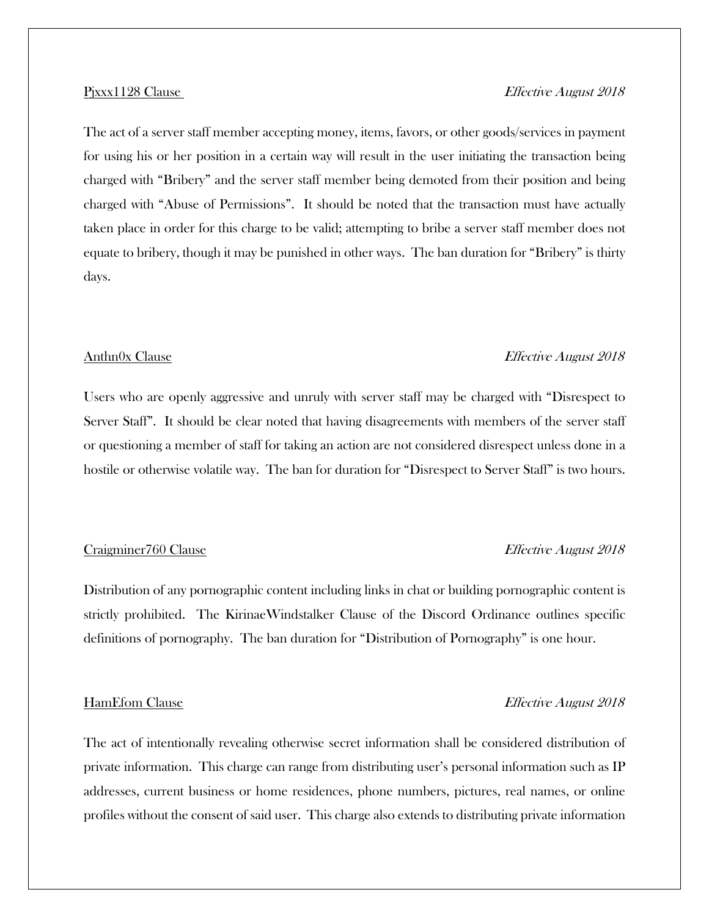## The act of a server staff member accepting money, items, favors, or other goods/services in payment for using his or her position in a certain way will result in the user initiating the transaction being charged with "Bribery" and the server staff member being demoted from their position and being charged with "Abuse of Permissions". It should be noted that the transaction must have actually taken place in order for this charge to be valid; attempting to bribe a server staff member does not equate to bribery, though it may be punished in other ways. The ban duration for "Bribery" is thirty days.

### Anthn0x Clause Effective August 2018

Users who are openly aggressive and unruly with server staff may be charged with "Disrespect to Server Staff". It should be clear noted that having disagreements with members of the server staff or questioning a member of staff for taking an action are not considered disrespect unless done in a hostile or otherwise volatile way. The ban for duration for "Disrespect to Server Staff" is two hours.

### Craigminer760 Clause **Effective August 2018**

Distribution of any pornographic content including links in chat or building pornographic content is strictly prohibited. The KirinaeWindstalker Clause of the Discord Ordinance outlines specific definitions of pornography. The ban duration for "Distribution of Pornography" is one hour.

### HamEfom Clause **Effective August 2018**

## The act of intentionally revealing otherwise secret information shall be considered distribution of private information. This charge can range from distributing user's personal information such as IP addresses, current business or home residences, phone numbers, pictures, real names, or online profiles without the consent of said user. This charge also extends to distributing private information

### Pjxxx1128 Clause Effective August 2018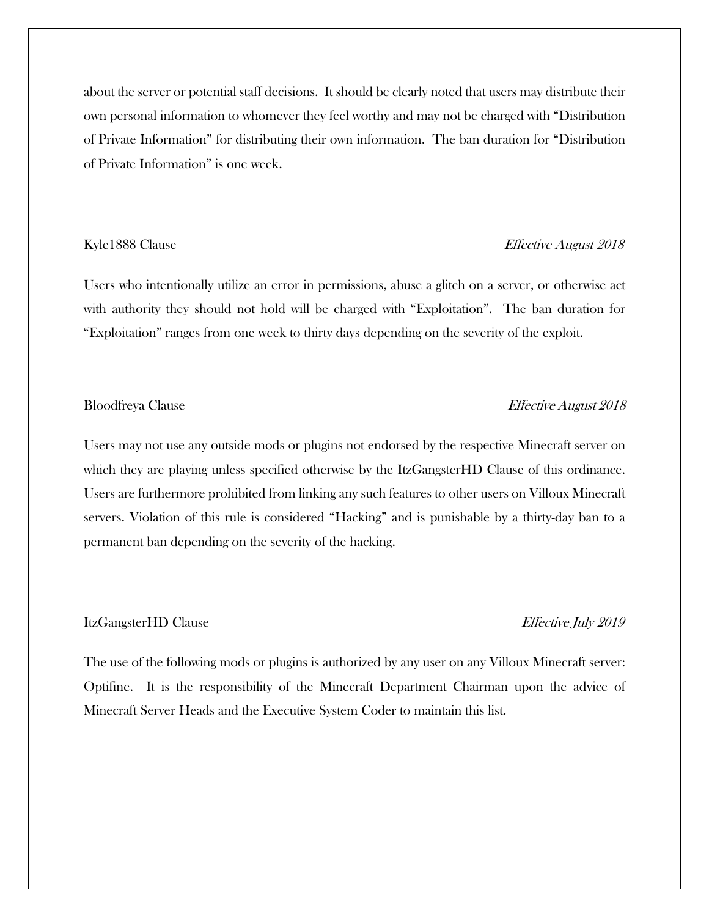about the server or potential staff decisions. It should be clearly noted that users may distribute their own personal information to whomever they feel worthy and may not be charged with "Distribution of Private Information" for distributing their own information. The ban duration for "Distribution of Private Information" is one week.

### Kyle1888 Clause Effective August 2018

Users who intentionally utilize an error in permissions, abuse a glitch on a server, or otherwise act with authority they should not hold will be charged with "Exploitation". The ban duration for "Exploitation" ranges from one week to thirty days depending on the severity of the exploit.

### Bloodfreya Clause Effective August 2018

Users may not use any outside mods or plugins not endorsed by the respective Minecraft server on which they are playing unless specified otherwise by the ItzGangsterHD Clause of this ordinance. Users are furthermore prohibited from linking any such features to other users on Villoux Minecraft servers. Violation of this rule is considered "Hacking" and is punishable by a thirty-day ban to a permanent ban depending on the severity of the hacking.

### ItzGangsterHD Clause Effective July 2019

The use of the following mods or plugins is authorized by any user on any Villoux Minecraft server: Optifine. It is the responsibility of the Minecraft Department Chairman upon the advice of Minecraft Server Heads and the Executive System Coder to maintain this list.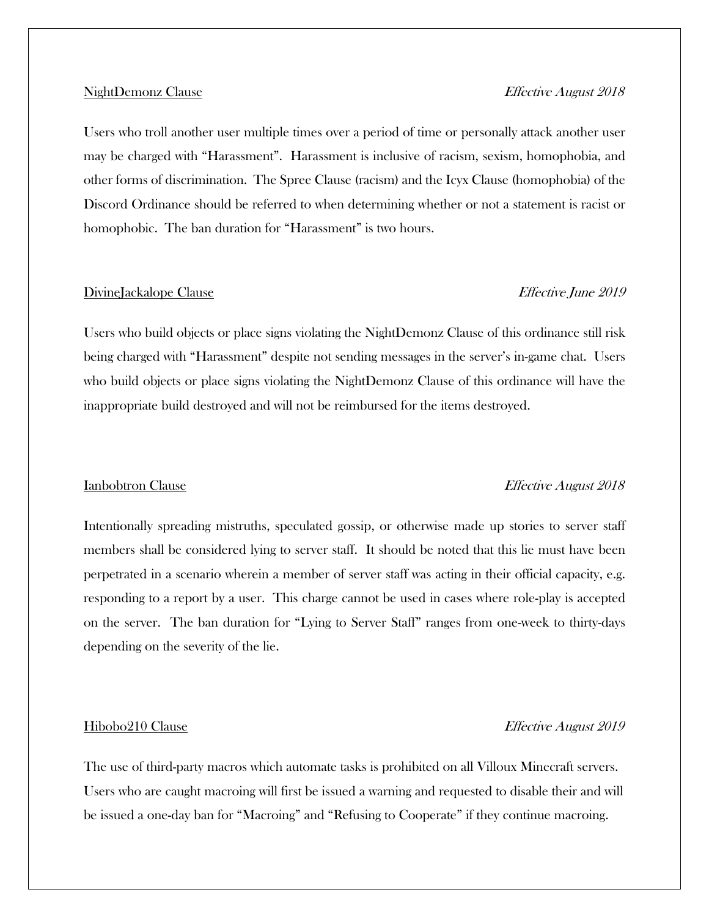### NightDemonz Clause Effective August 2018

Users who troll another user multiple times over a period of time or personally attack another user may be charged with "Harassment". Harassment is inclusive of racism, sexism, homophobia, and other forms of discrimination. The Spree Clause (racism) and the Icyx Clause (homophobia) of the Discord Ordinance should be referred to when determining whether or not a statement is racist or homophobic. The ban duration for "Harassment" is two hours.

### DivineJackalope Clause **Effective** June 2019

Users who build objects or place signs violating the NightDemonz Clause of this ordinance still risk being charged with "Harassment" despite not sending messages in the server's in-game chat. Users who build objects or place signs violating the NightDemonz Clause of this ordinance will have the inappropriate build destroyed and will not be reimbursed for the items destroyed.

## Intentionally spreading mistruths, speculated gossip, or otherwise made up stories to server staff members shall be considered lying to server staff. It should be noted that this lie must have been perpetrated in a scenario wherein a member of server staff was acting in their official capacity, e.g. responding to a report by a user. This charge cannot be used in cases where role-play is accepted on the server. The ban duration for "Lying to Server Staff" ranges from one-week to thirty-days depending on the severity of the lie.

### Hibobo210 Clause Effective August 2019

The use of third-party macros which automate tasks is prohibited on all Villoux Minecraft servers. Users who are caught macroing will first be issued a warning and requested to disable their and will be issued a one-day ban for "Macroing" and "Refusing to Cooperate" if they continue macroing.

### Ianbobtron Clause Effective August 2018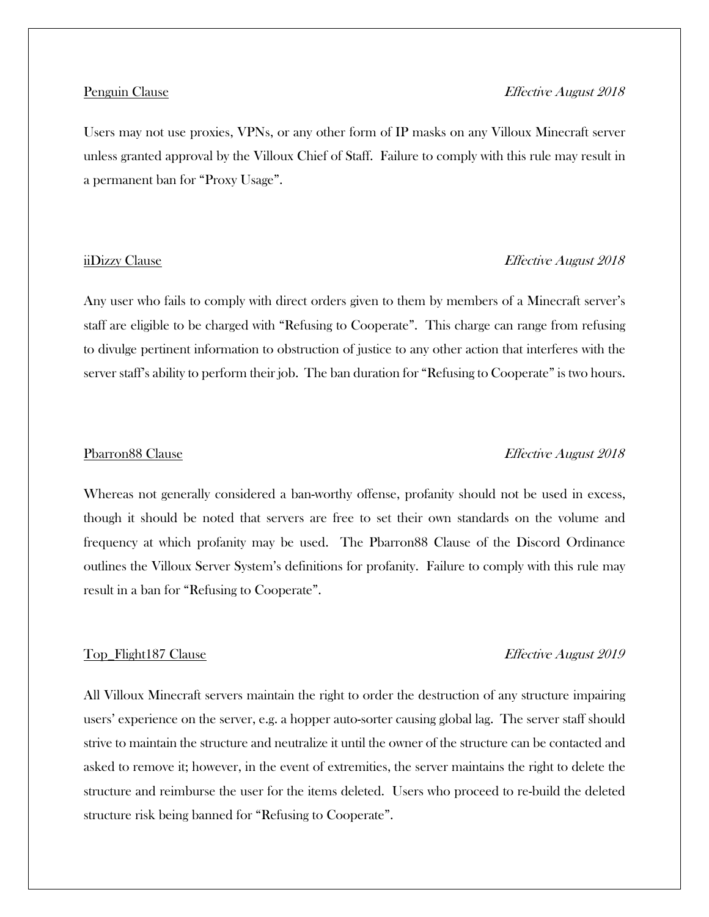### Penguin Clause **Effective August 2018**

Users may not use proxies, VPNs, or any other form of IP masks on any Villoux Minecraft server unless granted approval by the Villoux Chief of Staff. Failure to comply with this rule may result in a permanent ban for "Proxy Usage".

### iiDizzy Clause Effective August 2018

Any user who fails to comply with direct orders given to them by members of a Minecraft server's staff are eligible to be charged with "Refusing to Cooperate". This charge can range from refusing to divulge pertinent information to obstruction of justice to any other action that interferes with the server staff's ability to perform their job. The ban duration for "Refusing to Cooperate" is two hours.

### Pbarron88 Clause Effective August 2018

Whereas not generally considered a ban-worthy offense, profanity should not be used in excess, though it should be noted that servers are free to set their own standards on the volume and frequency at which profanity may be used. The Pbarron88 Clause of the Discord Ordinance outlines the Villoux Server System's definitions for profanity. Failure to comply with this rule may result in a ban for "Refusing to Cooperate".

### Top\_Flight187 Clause **Effective August 2019**

All Villoux Minecraft servers maintain the right to order the destruction of any structure impairing users' experience on the server, e.g. a hopper auto-sorter causing global lag. The server staff should strive to maintain the structure and neutralize it until the owner of the structure can be contacted and asked to remove it; however, in the event of extremities, the server maintains the right to delete the structure and reimburse the user for the items deleted. Users who proceed to re-build the deleted structure risk being banned for "Refusing to Cooperate".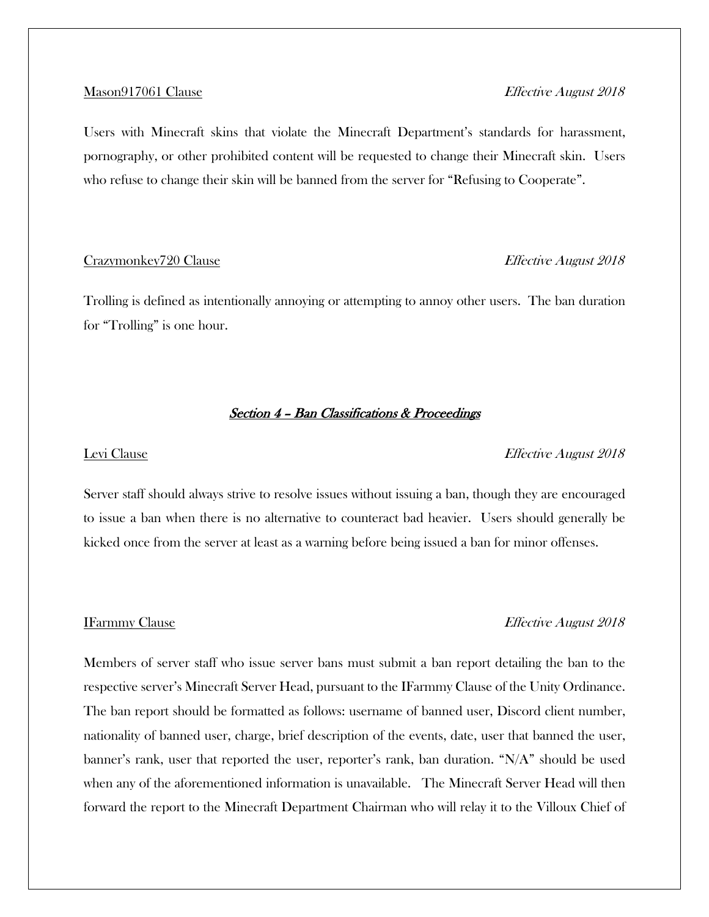Users with Minecraft skins that violate the Minecraft Department's standards for harassment, pornography, or other prohibited content will be requested to change their Minecraft skin. Users who refuse to change their skin will be banned from the server for "Refusing to Cooperate".

### Crazymonkey720 Clause Effective August 2018

Trolling is defined as intentionally annoying or attempting to annoy other users. The ban duration for "Trolling" is one hour.

### Section 4 – Ban Classifications & Proceedings

### Levi Clause **Effective August 2018**

Server staff should always strive to resolve issues without issuing a ban, though they are encouraged to issue a ban when there is no alternative to counteract bad heavier. Users should generally be kicked once from the server at least as a warning before being issued a ban for minor offenses.

### IFarmmy Clause Effective August 2018

Members of server staff who issue server bans must submit a ban report detailing the ban to the respective server's Minecraft Server Head, pursuant to the IFarmmy Clause of the Unity Ordinance. The ban report should be formatted as follows: username of banned user, Discord client number, nationality of banned user, charge, brief description of the events, date, user that banned the user, banner's rank, user that reported the user, reporter's rank, ban duration. "N/A" should be used when any of the aforementioned information is unavailable. The Minecraft Server Head will then forward the report to the Minecraft Department Chairman who will relay it to the Villoux Chief of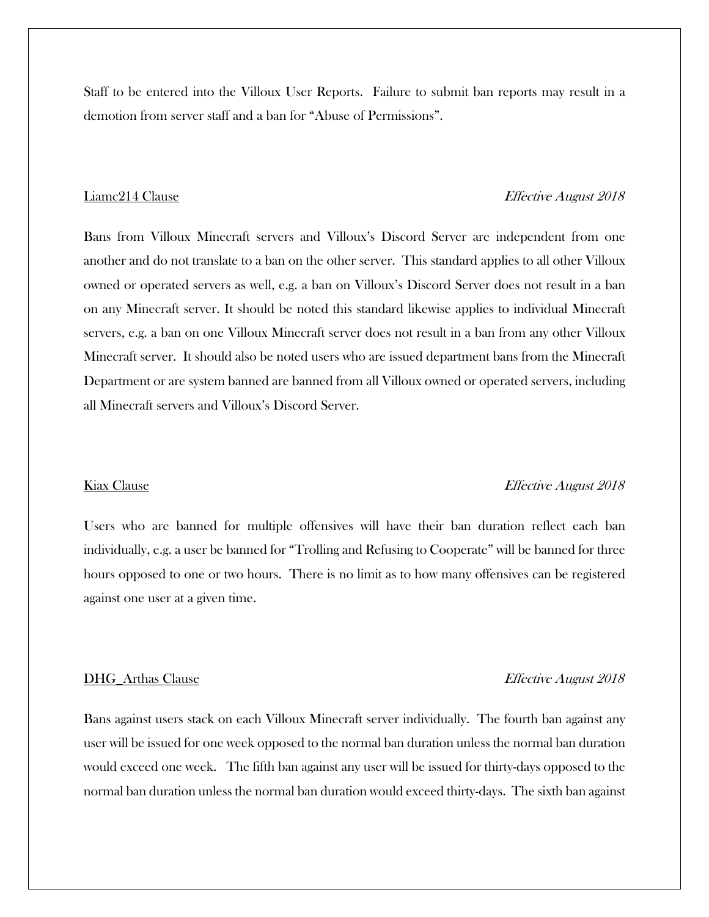Staff to be entered into the Villoux User Reports. Failure to submit ban reports may result in a demotion from server staff and a ban for "Abuse of Permissions".

### Liamc214 Clause Effective August 2018

Bans from Villoux Minecraft servers and Villoux's Discord Server are independent from one another and do not translate to a ban on the other server. This standard applies to all other Villoux owned or operated servers as well, e.g. a ban on Villoux's Discord Server does not result in a ban on any Minecraft server. It should be noted this standard likewise applies to individual Minecraft servers, e.g. a ban on one Villoux Minecraft server does not result in a ban from any other Villoux Minecraft server. It should also be noted users who are issued department bans from the Minecraft Department or are system banned are banned from all Villoux owned or operated servers, including all Minecraft servers and Villoux's Discord Server.

### Kiax Clause **Effective August 2018**

Users who are banned for multiple offensives will have their ban duration reflect each ban individually, e.g. a user be banned for "Trolling and Refusing to Cooperate" will be banned for three hours opposed to one or two hours. There is no limit as to how many offensives can be registered against one user at a given time.

### DHG\_Arthas Clause **Effective August 2018**

Bans against users stack on each Villoux Minecraft server individually. The fourth ban against any user will be issued for one week opposed to the normal ban duration unless the normal ban duration would exceed one week. The fifth ban against any user will be issued for thirty-days opposed to the normal ban duration unless the normal ban duration would exceed thirty-days. The sixth ban against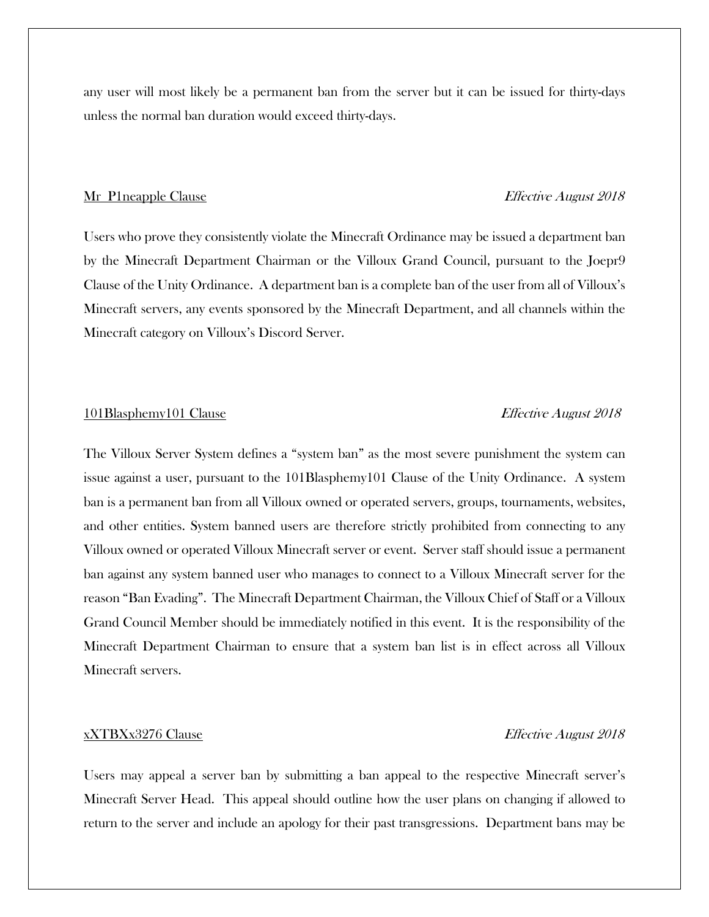any user will most likely be a permanent ban from the server but it can be issued for thirty-days unless the normal ban duration would exceed thirty-days.

### Mr\_P1neapple Clause Effective August 2018

Users who prove they consistently violate the Minecraft Ordinance may be issued a department ban by the Minecraft Department Chairman or the Villoux Grand Council, pursuant to the Joepr9 Clause of the Unity Ordinance. A department ban is a complete ban of the user from all of Villoux's Minecraft servers, any events sponsored by the Minecraft Department, and all channels within the Minecraft category on Villoux's Discord Server.

### 101Blasphemy101 Clause Effective August 2018

The Villoux Server System defines a "system ban" as the most severe punishment the system can issue against a user, pursuant to the 101Blasphemy101 Clause of the Unity Ordinance. A system ban is a permanent ban from all Villoux owned or operated servers, groups, tournaments, websites, and other entities. System banned users are therefore strictly prohibited from connecting to any Villoux owned or operated Villoux Minecraft server or event. Server staff should issue a permanent ban against any system banned user who manages to connect to a Villoux Minecraft server for the reason "Ban Evading". The Minecraft Department Chairman, the Villoux Chief of Staff or a Villoux Grand Council Member should be immediately notified in this event. It is the responsibility of the Minecraft Department Chairman to ensure that a system ban list is in effect across all Villoux Minecraft servers.

### xXTBXx3276 Clause Effective August 2018

Users may appeal a server ban by submitting a ban appeal to the respective Minecraft server's Minecraft Server Head. This appeal should outline how the user plans on changing if allowed to return to the server and include an apology for their past transgressions. Department bans may be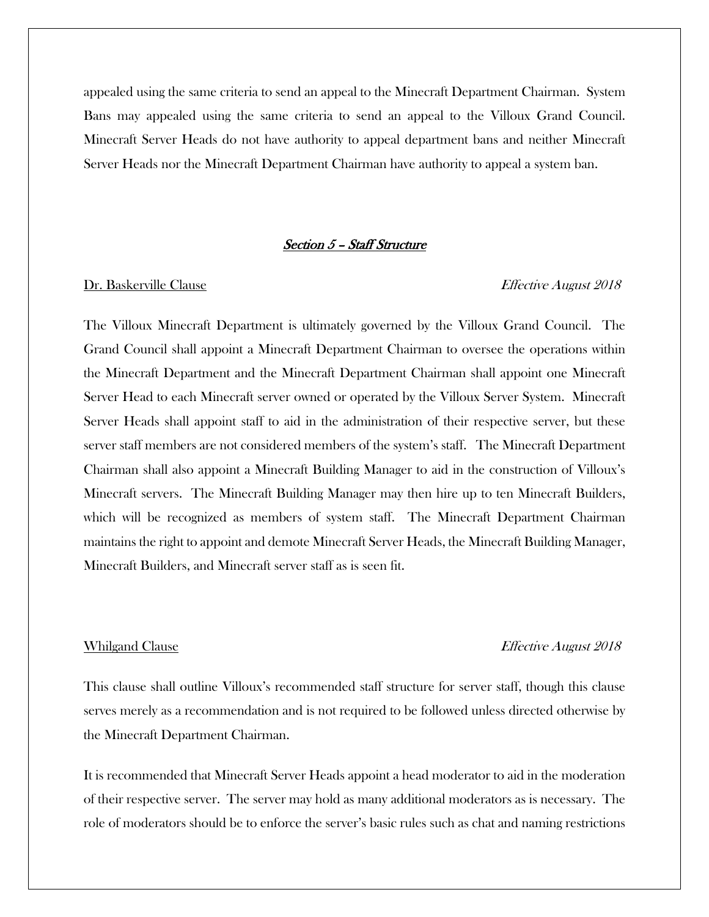appealed using the same criteria to send an appeal to the Minecraft Department Chairman. System Bans may appealed using the same criteria to send an appeal to the Villoux Grand Council. Minecraft Server Heads do not have authority to appeal department bans and neither Minecraft Server Heads nor the Minecraft Department Chairman have authority to appeal a system ban.

### Section 5 – Staff Structure

### Dr. Baskerville Clause Effective August 2018

The Villoux Minecraft Department is ultimately governed by the Villoux Grand Council. The Grand Council shall appoint a Minecraft Department Chairman to oversee the operations within the Minecraft Department and the Minecraft Department Chairman shall appoint one Minecraft Server Head to each Minecraft server owned or operated by the Villoux Server System. Minecraft Server Heads shall appoint staff to aid in the administration of their respective server, but these server staff members are not considered members of the system's staff. The Minecraft Department Chairman shall also appoint a Minecraft Building Manager to aid in the construction of Villoux's Minecraft servers. The Minecraft Building Manager may then hire up to ten Minecraft Builders, which will be recognized as members of system staff. The Minecraft Department Chairman maintains the right to appoint and demote Minecraft Server Heads, the Minecraft Building Manager, Minecraft Builders, and Minecraft server staff as is seen fit.

### Whilgand Clause **Effective August 2018**

This clause shall outline Villoux's recommended staff structure for server staff, though this clause serves merely as a recommendation and is not required to be followed unless directed otherwise by the Minecraft Department Chairman.

It is recommended that Minecraft Server Heads appoint a head moderator to aid in the moderation of their respective server. The server may hold as many additional moderators as is necessary. The role of moderators should be to enforce the server's basic rules such as chat and naming restrictions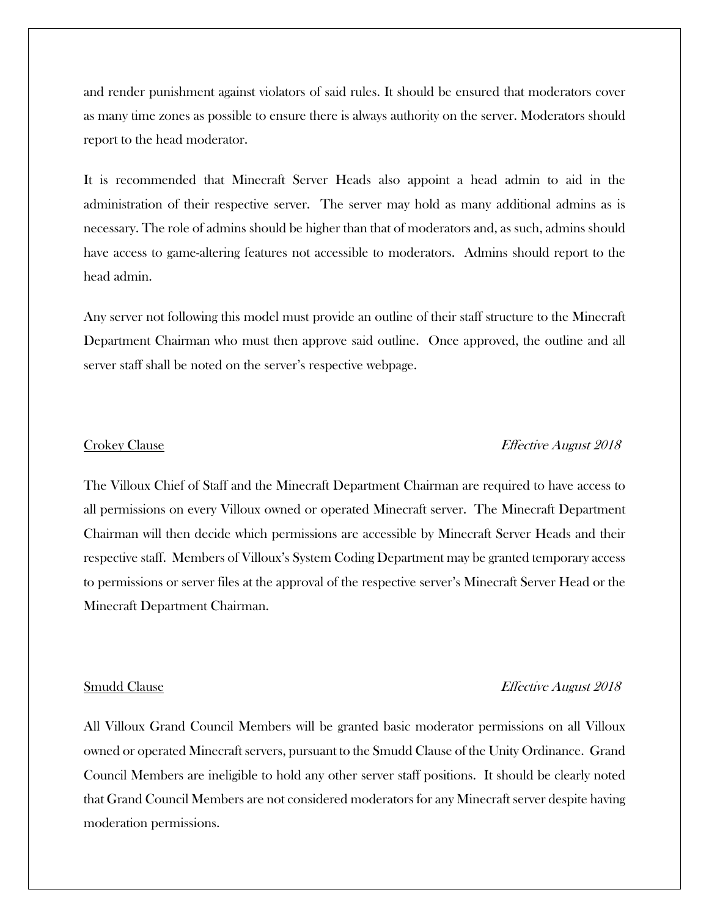and render punishment against violators of said rules. It should be ensured that moderators cover as many time zones as possible to ensure there is always authority on the server. Moderators should report to the head moderator.

It is recommended that Minecraft Server Heads also appoint a head admin to aid in the administration of their respective server. The server may hold as many additional admins as is necessary. The role of admins should be higher than that of moderators and, as such, admins should have access to game-altering features not accessible to moderators. Admins should report to the head admin.

Any server not following this model must provide an outline of their staff structure to the Minecraft Department Chairman who must then approve said outline. Once approved, the outline and all server staff shall be noted on the server's respective webpage.

### Crokey Clause Effective August 2018

The Villoux Chief of Staff and the Minecraft Department Chairman are required to have access to all permissions on every Villoux owned or operated Minecraft server. The Minecraft Department Chairman will then decide which permissions are accessible by Minecraft Server Heads and their respective staff. Members of Villoux's System Coding Department may be granted temporary access to permissions or server files at the approval of the respective server's Minecraft Server Head or the Minecraft Department Chairman.

### Smudd Clause **Effective August 2018**

All Villoux Grand Council Members will be granted basic moderator permissions on all Villoux owned or operated Minecraft servers, pursuant to the Smudd Clause of the Unity Ordinance. Grand Council Members are ineligible to hold any other server staff positions. It should be clearly noted that Grand Council Members are not considered moderators for any Minecraft server despite having moderation permissions.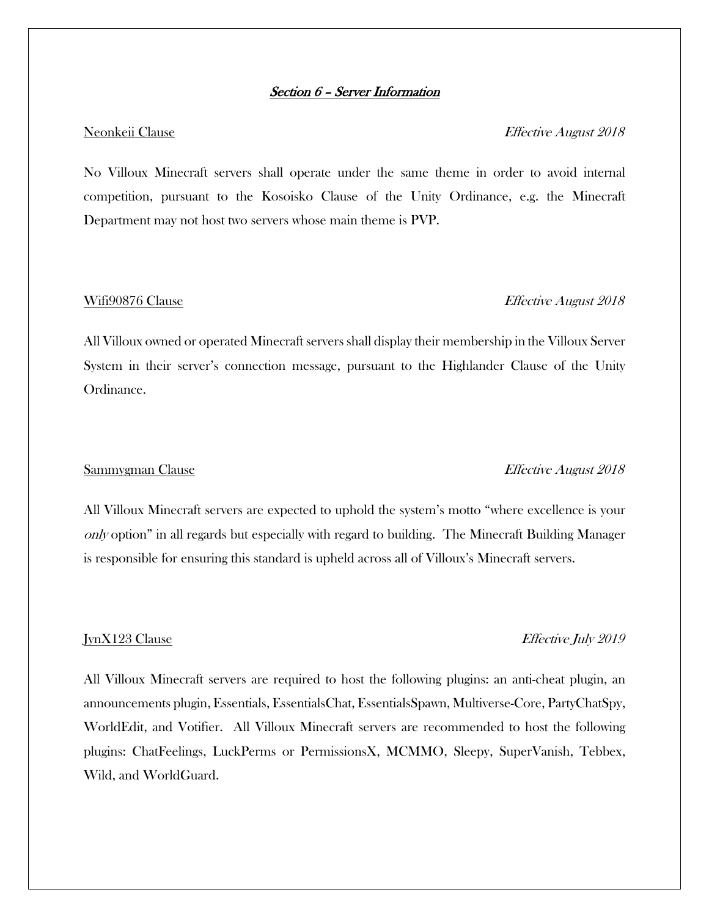### Section 6 – Server Information

### Neonkeii Clause **Effective August 2018**

No Villoux Minecraft servers shall operate under the same theme in order to avoid internal competition, pursuant to the Kosoisko Clause of the Unity Ordinance, e.g. the Minecraft Department may not host two servers whose main theme is PVP.

### Wifi90876 Clause **Effective August 2018**

All Villoux owned or operated Minecraft servers shall display their membership in the Villoux Server System in their server's connection message, pursuant to the Highlander Clause of the Unity Ordinance.

### Sammygman Clause **Effective August 2018**

All Villoux Minecraft servers are expected to uphold the system's motto "where excellence is your only option" in all regards but especially with regard to building. The Minecraft Building Manager is responsible for ensuring this standard is upheld across all of Villoux's Minecraft servers.

### JynX123 Clause Effective July 2019

All Villoux Minecraft servers are required to host the following plugins: an anti-cheat plugin, an announcements plugin, Essentials, EssentialsChat, EssentialsSpawn, Multiverse-Core, PartyChatSpy, WorldEdit, and Votifier. All Villoux Minecraft servers are recommended to host the following plugins: ChatFeelings, LuckPerms or PermissionsX, MCMMO, Sleepy, SuperVanish, Tebbex, Wild, and WorldGuard.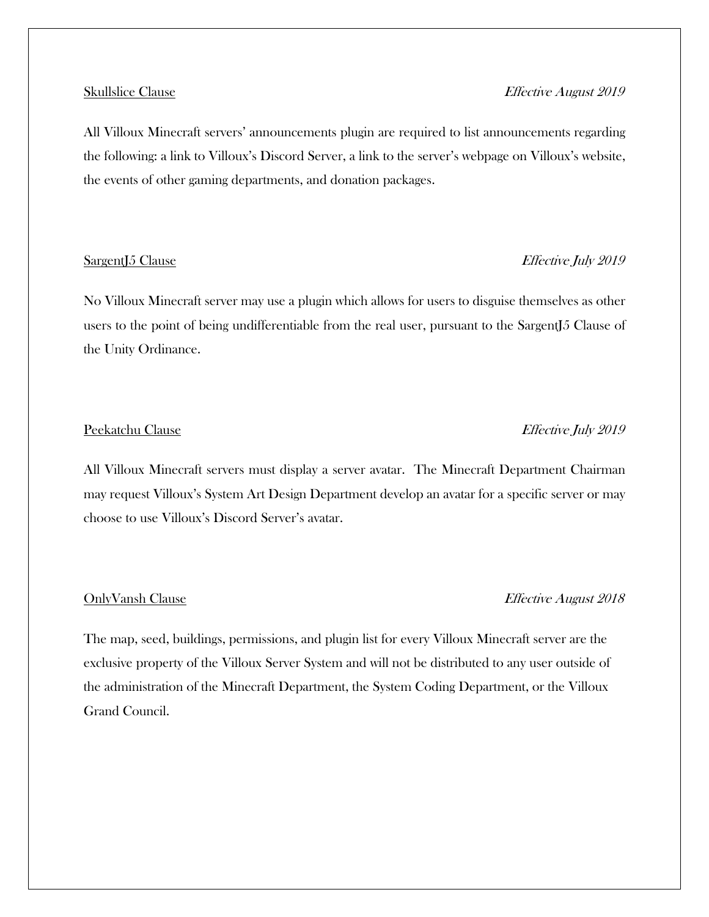### Skullslice Clause Effective August 2019

All Villoux Minecraft servers' announcements plugin are required to list announcements regarding the following: a link to Villoux's Discord Server, a link to the server's webpage on Villoux's website, the events of other gaming departments, and donation packages.

### SargentJ5 Clause Effective July 2019

No Villoux Minecraft server may use a plugin which allows for users to disguise themselves as other users to the point of being undifferentiable from the real user, pursuant to the SargentJ5 Clause of the Unity Ordinance.

## All Villoux Minecraft servers must display a server avatar. The Minecraft Department Chairman may request Villoux's System Art Design Department develop an avatar for a specific server or may

choose to use Villoux's Discord Server's avatar.

### OnlyVansh Clause Effective August 2018

The map, seed, buildings, permissions, and plugin list for every Villoux Minecraft server are the exclusive property of the Villoux Server System and will not be distributed to any user outside of the administration of the Minecraft Department, the System Coding Department, or the Villoux Grand Council.

### Peekatchu Clause Effective July 2019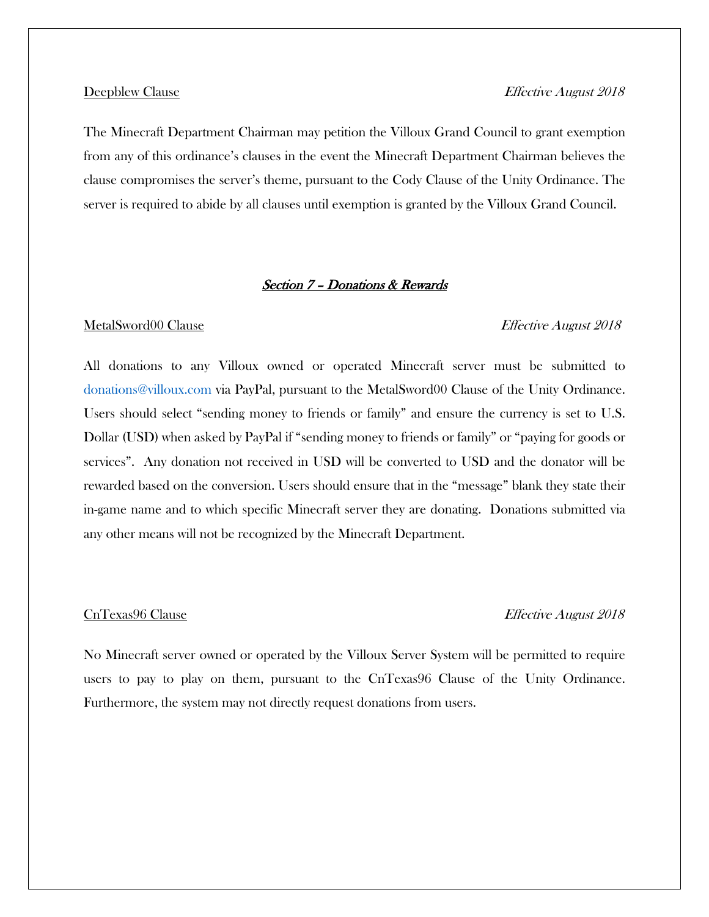The Minecraft Department Chairman may petition the Villoux Grand Council to grant exemption from any of this ordinance's clauses in the event the Minecraft Department Chairman believes the clause compromises the server's theme, pursuant to the Cody Clause of the Unity Ordinance. The server is required to abide by all clauses until exemption is granted by the Villoux Grand Council.

### Section 7 – Donations & Rewards

### MetalSword00 Clause Effective August 2018

All donations to any Villoux owned or operated Minecraft server must be submitted to donations@villoux.com via PayPal, pursuant to the MetalSword00 Clause of the Unity Ordinance. Users should select "sending money to friends or family" and ensure the currency is set to U.S. Dollar (USD) when asked by PayPal if "sending money to friends or family" or "paying for goods or services". Any donation not received in USD will be converted to USD and the donator will be rewarded based on the conversion. Users should ensure that in the "message" blank they state their in-game name and to which specific Minecraft server they are donating. Donations submitted via any other means will not be recognized by the Minecraft Department.

### CnTexas96 Clause **Effective August 2018**

No Minecraft server owned or operated by the Villoux Server System will be permitted to require users to pay to play on them, pursuant to the CnTexas96 Clause of the Unity Ordinance. Furthermore, the system may not directly request donations from users.